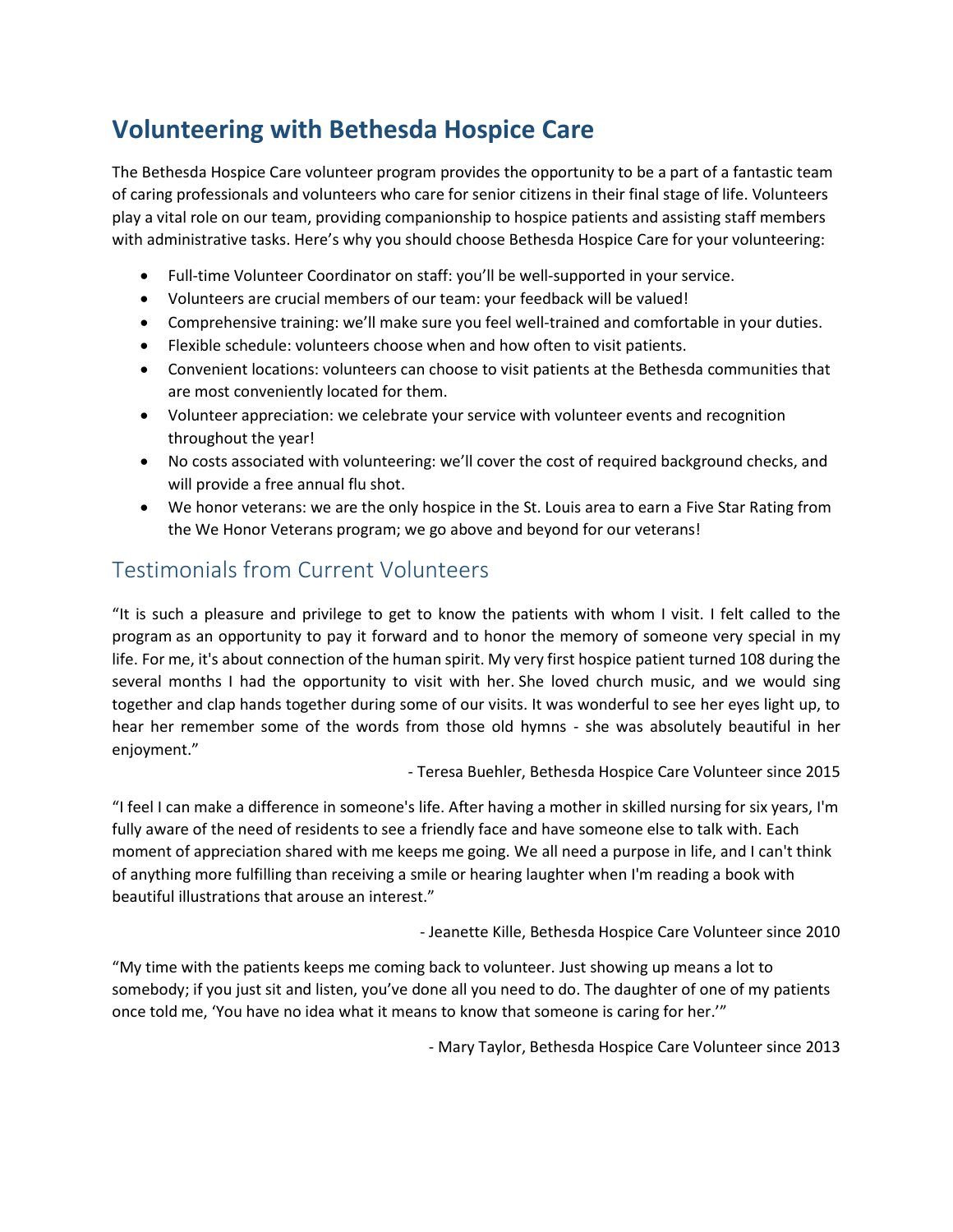# **Volunteering with Bethesda Hospice Care**

The Bethesda Hospice Care volunteer program provides the opportunity to be a part of a fantastic team of caring professionals and volunteers who care for senior citizens in their final stage of life. Volunteers play a vital role on our team, providing companionship to hospice patients and assisting staff members with administrative tasks. Here's why you should choose Bethesda Hospice Care for your volunteering:

- Full-time Volunteer Coordinator on staff: you'll be well-supported in your service.
- Volunteers are crucial members of our team: your feedback will be valued!
- Comprehensive training: we'll make sure you feel well-trained and comfortable in your duties.
- Flexible schedule: volunteers choose when and how often to visit patients.
- Convenient locations: volunteers can choose to visit patients at the Bethesda communities that are most conveniently located for them.
- Volunteer appreciation: we celebrate your service with volunteer events and recognition throughout the year!
- No costs associated with volunteering: we'll cover the cost of required background checks, and will provide a free annual flu shot.
- We honor veterans: we are the only hospice in the St. Louis area to earn a Five Star Rating from the We Honor Veterans program; we go above and beyond for our veterans!

## Testimonials from Current Volunteers

"It is such a pleasure and privilege to get to know the patients with whom I visit. I felt called to the program as an opportunity to pay it forward and to honor the memory of someone very special in my life. For me, it's about connection of the human spirit. My very first hospice patient turned 108 during the several months I had the opportunity to visit with her. She loved church music, and we would sing together and clap hands together during some of our visits. It was wonderful to see her eyes light up, to hear her remember some of the words from those old hymns - she was absolutely beautiful in her enjoyment."

- Teresa Buehler, Bethesda Hospice Care Volunteer since 2015

"I feel I can make a difference in someone's life. After having a mother in skilled nursing for six years, I'm fully aware of the need of residents to see a friendly face and have someone else to talk with. Each moment of appreciation shared with me keeps me going. We all need a purpose in life, and I can't think of anything more fulfilling than receiving a smile or hearing laughter when I'm reading a book with beautiful illustrations that arouse an interest."

- Jeanette Kille, Bethesda Hospice Care Volunteer since 2010

"My time with the patients keeps me coming back to volunteer. Just showing up means a lot to somebody; if you just sit and listen, you've done all you need to do. The daughter of one of my patients once told me, 'You have no idea what it means to know that someone is caring for her.'"

- Mary Taylor, Bethesda Hospice Care Volunteer since 2013